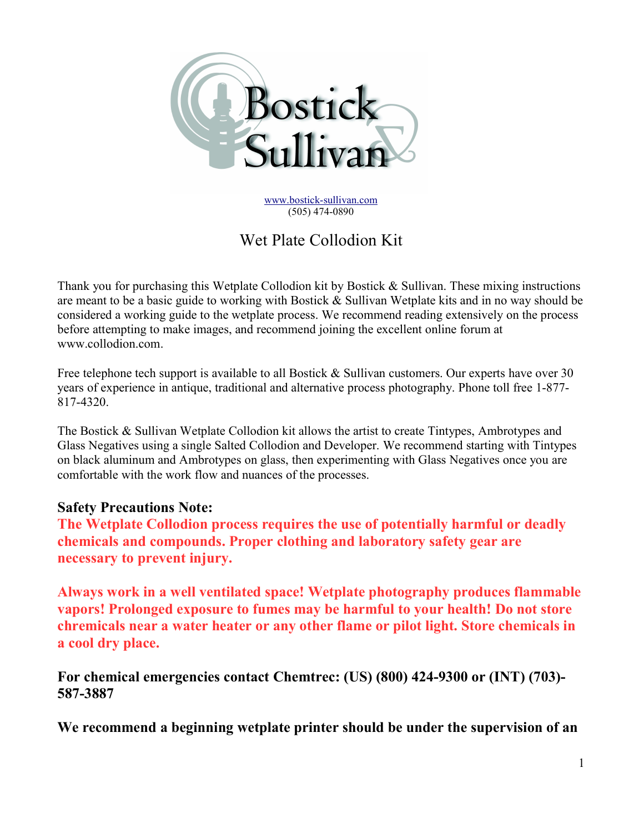

www.bostick-sullivan.com (505) 474-0890

# Wet Plate Collodion Kit

Thank you for purchasing this Wetplate Collodion kit by Bostick  $\&$  Sullivan. These mixing instructions are meant to be a basic guide to working with Bostick & Sullivan Wetplate kits and in no way should be considered a working guide to the wetplate process. We recommend reading extensively on the process before attempting to make images, and recommend joining the excellent online forum at www.collodion.com.

Free telephone tech support is available to all Bostick & Sullivan customers. Our experts have over 30 years of experience in antique, traditional and alternative process photography. Phone toll free 1-877- 817-4320.

The Bostick & Sullivan Wetplate Collodion kit allows the artist to create Tintypes, Ambrotypes and Glass Negatives using a single Salted Collodion and Developer. We recommend starting with Tintypes on black aluminum and Ambrotypes on glass, then experimenting with Glass Negatives once you are comfortable with the work flow and nuances of the processes.

## Safety Precautions Note:

The Wetplate Collodion process requires the use of potentially harmful or deadly chemicals and compounds. Proper clothing and laboratory safety gear are necessary to prevent injury.

Always work in a well ventilated space! Wetplate photography produces flammable vapors! Prolonged exposure to fumes may be harmful to your health! Do not store chremicals near a water heater or any other flame or pilot light. Store chemicals in a cool dry place.

For chemical emergencies contact Chemtrec: (US) (800) 424-9300 or (INT) (703)- 587-3887

We recommend a beginning wetplate printer should be under the supervision of an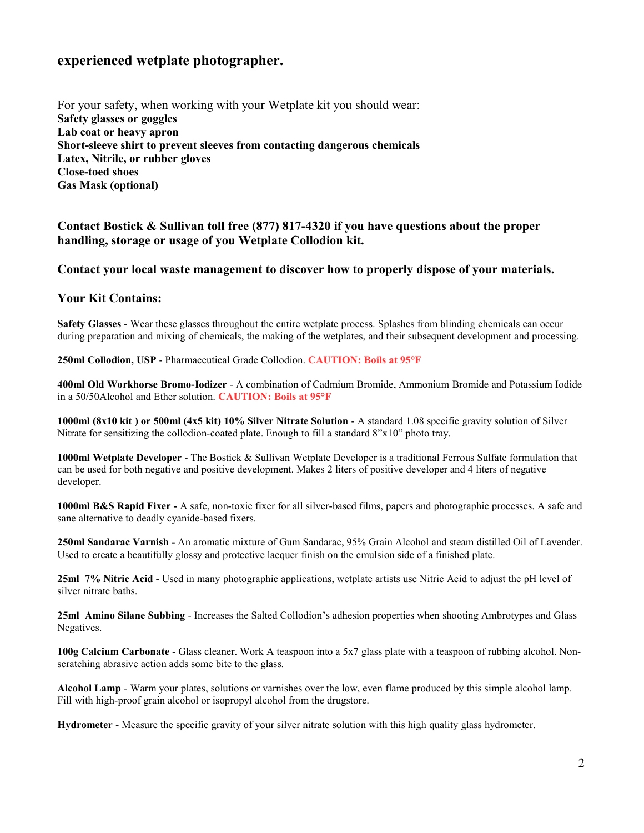## experienced wetplate photographer.

For your safety, when working with your Wetplate kit you should wear: Safety glasses or goggles Lab coat or heavy apron Short-sleeve shirt to prevent sleeves from contacting dangerous chemicals Latex, Nitrile, or rubber gloves Close-toed shoes Gas Mask (optional)

#### Contact Bostick & Sullivan toll free (877) 817-4320 if you have questions about the proper handling, storage or usage of you Wetplate Collodion kit.

#### Contact your local waste management to discover how to properly dispose of your materials.

#### Your Kit Contains:

Safety Glasses - Wear these glasses throughout the entire wetplate process. Splashes from blinding chemicals can occur during preparation and mixing of chemicals, the making of the wetplates, and their subsequent development and processing.

250ml Collodion, USP - Pharmaceutical Grade Collodion. CAUTION: Boils at 95°F

400ml Old Workhorse Bromo-Iodizer - A combination of Cadmium Bromide, Ammonium Bromide and Potassium Iodide in a 50/50Alcohol and Ether solution. CAUTION: Boils at 95°F

1000ml (8x10 kit ) or 500ml (4x5 kit) 10% Silver Nitrate Solution - A standard 1.08 specific gravity solution of Silver Nitrate for sensitizing the collodion-coated plate. Enough to fill a standard 8"x10" photo tray.

1000ml Wetplate Developer - The Bostick & Sullivan Wetplate Developer is a traditional Ferrous Sulfate formulation that can be used for both negative and positive development. Makes 2 liters of positive developer and 4 liters of negative developer.

1000ml B&S Rapid Fixer - A safe, non-toxic fixer for all silver-based films, papers and photographic processes. A safe and sane alternative to deadly cyanide-based fixers.

250ml Sandarac Varnish - An aromatic mixture of Gum Sandarac, 95% Grain Alcohol and steam distilled Oil of Lavender. Used to create a beautifully glossy and protective lacquer finish on the emulsion side of a finished plate.

25ml 7% Nitric Acid - Used in many photographic applications, wetplate artists use Nitric Acid to adjust the pH level of silver nitrate baths.

25ml Amino Silane Subbing - Increases the Salted Collodion's adhesion properties when shooting Ambrotypes and Glass Negatives.

100g Calcium Carbonate - Glass cleaner. Work A teaspoon into a 5x7 glass plate with a teaspoon of rubbing alcohol. Nonscratching abrasive action adds some bite to the glass.

Alcohol Lamp - Warm your plates, solutions or varnishes over the low, even flame produced by this simple alcohol lamp. Fill with high-proof grain alcohol or isopropyl alcohol from the drugstore.

Hydrometer - Measure the specific gravity of your silver nitrate solution with this high quality glass hydrometer.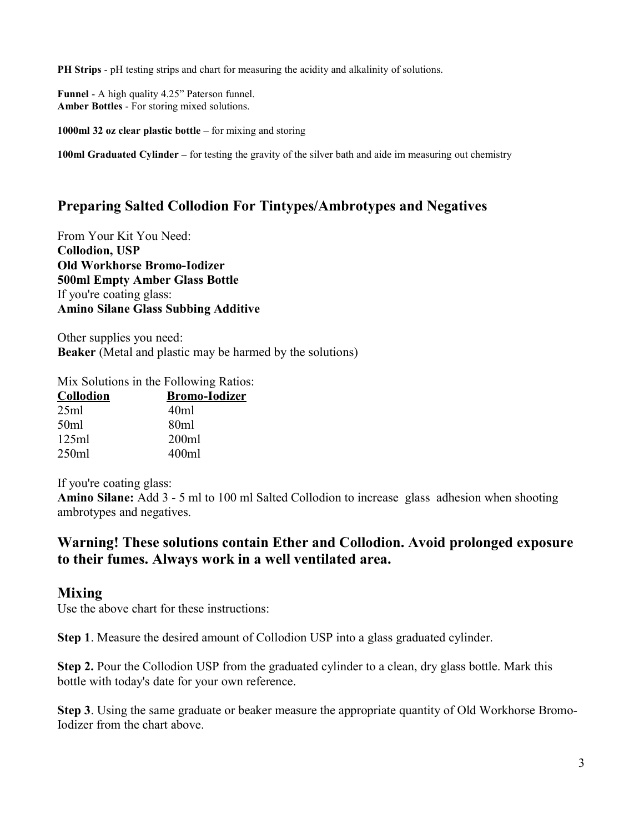PH Strips - pH testing strips and chart for measuring the acidity and alkalinity of solutions.

Funnel - A high quality 4.25" Paterson funnel. Amber Bottles - For storing mixed solutions.

1000ml 32 oz clear plastic bottle – for mixing and storing

100ml Graduated Cylinder – for testing the gravity of the silver bath and aide im measuring out chemistry

## Preparing Salted Collodion For Tintypes/Ambrotypes and Negatives

From Your Kit You Need: Collodion, USP Old Workhorse Bromo-Iodizer 500ml Empty Amber Glass Bottle If you're coating glass: Amino Silane Glass Subbing Additive

Other supplies you need: Beaker (Metal and plastic may be harmed by the solutions)

Mix Solutions in the Following Ratios:

| <b>Collodion</b> | <b>Bromo-Iodizer</b> |
|------------------|----------------------|
| 25ml             | 40ml                 |
| 50ml             | 80 <sub>ml</sub>     |
| 125ml            | 200ml                |
| 250ml            | 400ml                |
|                  |                      |

If you're coating glass:

Amino Silane: Add 3 - 5 ml to 100 ml Salted Collodion to increase glass adhesion when shooting ambrotypes and negatives.

## Warning! These solutions contain Ether and Collodion. Avoid prolonged exposure to their fumes. Always work in a well ventilated area.

#### Mixing

Use the above chart for these instructions:

Step 1. Measure the desired amount of Collodion USP into a glass graduated cylinder.

Step 2. Pour the Collodion USP from the graduated cylinder to a clean, dry glass bottle. Mark this bottle with today's date for your own reference.

Step 3. Using the same graduate or beaker measure the appropriate quantity of Old Workhorse Bromo-Iodizer from the chart above.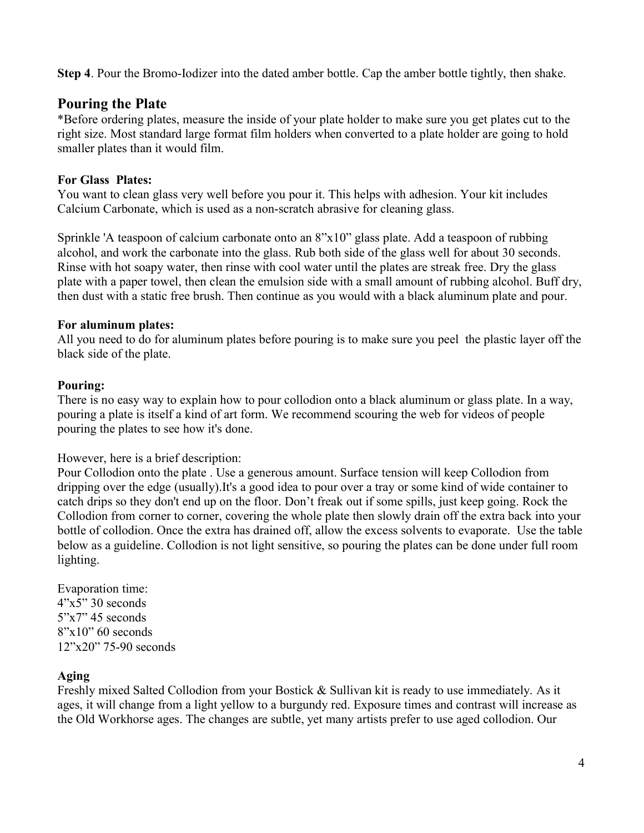Step 4. Pour the Bromo-Iodizer into the dated amber bottle. Cap the amber bottle tightly, then shake.

## Pouring the Plate

\*Before ordering plates, measure the inside of your plate holder to make sure you get plates cut to the right size. Most standard large format film holders when converted to a plate holder are going to hold smaller plates than it would film.

### For Glass Plates:

You want to clean glass very well before you pour it. This helps with adhesion. Your kit includes Calcium Carbonate, which is used as a non-scratch abrasive for cleaning glass.

Sprinkle 'A teaspoon of calcium carbonate onto an 8"x10" glass plate. Add a teaspoon of rubbing alcohol, and work the carbonate into the glass. Rub both side of the glass well for about 30 seconds. Rinse with hot soapy water, then rinse with cool water until the plates are streak free. Dry the glass plate with a paper towel, then clean the emulsion side with a small amount of rubbing alcohol. Buff dry, then dust with a static free brush. Then continue as you would with a black aluminum plate and pour.

#### For aluminum plates:

All you need to do for aluminum plates before pouring is to make sure you peel the plastic layer off the black side of the plate.

### Pouring:

There is no easy way to explain how to pour collodion onto a black aluminum or glass plate. In a way, pouring a plate is itself a kind of art form. We recommend scouring the web for videos of people pouring the plates to see how it's done.

However, here is a brief description:

Pour Collodion onto the plate . Use a generous amount. Surface tension will keep Collodion from dripping over the edge (usually).It's a good idea to pour over a tray or some kind of wide container to catch drips so they don't end up on the floor. Don't freak out if some spills, just keep going. Rock the Collodion from corner to corner, covering the whole plate then slowly drain off the extra back into your bottle of collodion. Once the extra has drained off, allow the excess solvents to evaporate. Use the table below as a guideline. Collodion is not light sensitive, so pouring the plates can be done under full room lighting.

Evaporation time:  $4"x5"30 seconds$  $5"x7"$  45 seconds  $8"x10"60 seconds$ 12"x20" 75-90 seconds

## Aging

Freshly mixed Salted Collodion from your Bostick & Sullivan kit is ready to use immediately. As it ages, it will change from a light yellow to a burgundy red. Exposure times and contrast will increase as the Old Workhorse ages. The changes are subtle, yet many artists prefer to use aged collodion. Our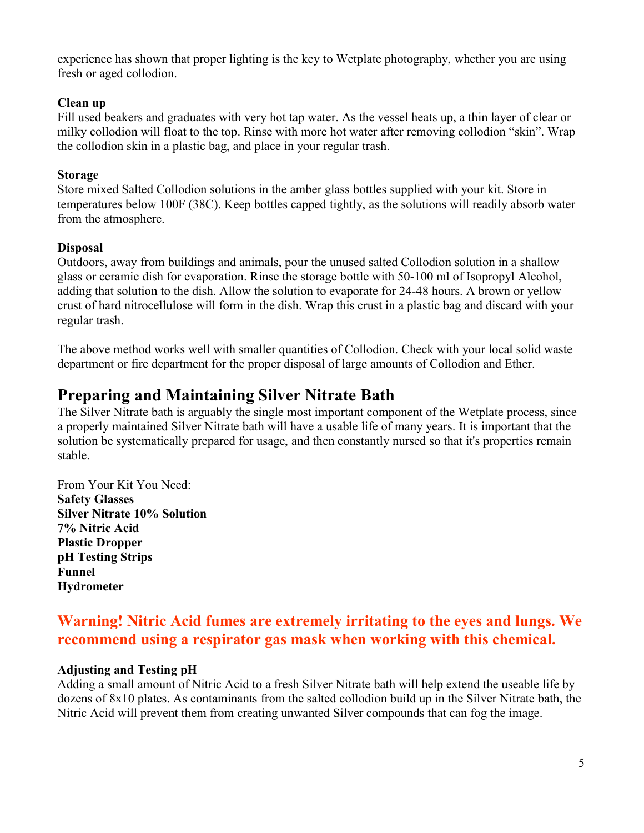experience has shown that proper lighting is the key to Wetplate photography, whether you are using fresh or aged collodion.

#### Clean up

Fill used beakers and graduates with very hot tap water. As the vessel heats up, a thin layer of clear or milky collodion will float to the top. Rinse with more hot water after removing collodion "skin". Wrap the collodion skin in a plastic bag, and place in your regular trash.

#### Storage

Store mixed Salted Collodion solutions in the amber glass bottles supplied with your kit. Store in temperatures below 100F (38C). Keep bottles capped tightly, as the solutions will readily absorb water from the atmosphere.

#### Disposal

Outdoors, away from buildings and animals, pour the unused salted Collodion solution in a shallow glass or ceramic dish for evaporation. Rinse the storage bottle with 50-100 ml of Isopropyl Alcohol, adding that solution to the dish. Allow the solution to evaporate for 24-48 hours. A brown or yellow crust of hard nitrocellulose will form in the dish. Wrap this crust in a plastic bag and discard with your regular trash.

The above method works well with smaller quantities of Collodion. Check with your local solid waste department or fire department for the proper disposal of large amounts of Collodion and Ether.

# Preparing and Maintaining Silver Nitrate Bath

The Silver Nitrate bath is arguably the single most important component of the Wetplate process, since a properly maintained Silver Nitrate bath will have a usable life of many years. It is important that the solution be systematically prepared for usage, and then constantly nursed so that it's properties remain stable.

From Your Kit You Need: Safety Glasses Silver Nitrate 10% Solution 7% Nitric Acid Plastic Dropper pH Testing Strips Funnel **Hydrometer** 

# Warning! Nitric Acid fumes are extremely irritating to the eyes and lungs. We recommend using a respirator gas mask when working with this chemical.

#### Adjusting and Testing pH

Adding a small amount of Nitric Acid to a fresh Silver Nitrate bath will help extend the useable life by dozens of 8x10 plates. As contaminants from the salted collodion build up in the Silver Nitrate bath, the Nitric Acid will prevent them from creating unwanted Silver compounds that can fog the image.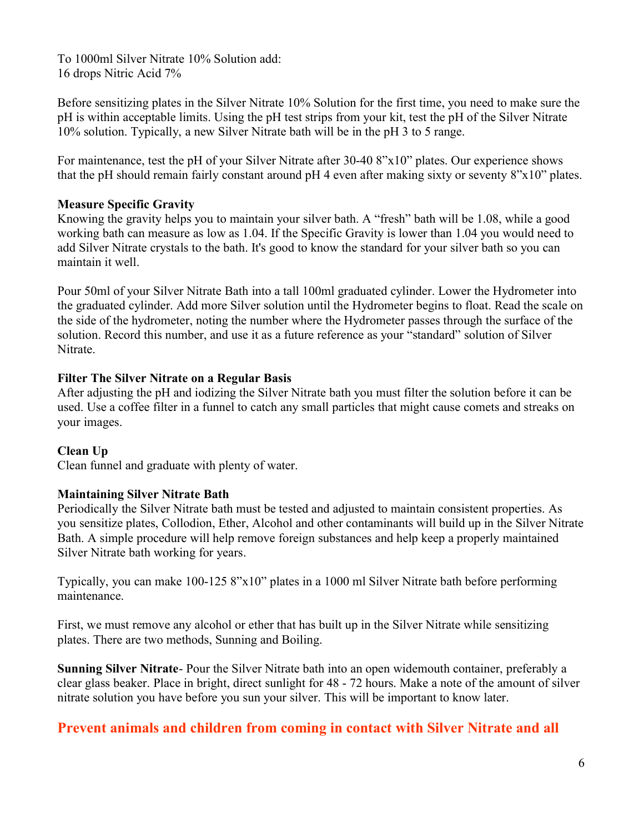To 1000ml Silver Nitrate 10% Solution add: 16 drops Nitric Acid 7%

Before sensitizing plates in the Silver Nitrate 10% Solution for the first time, you need to make sure the pH is within acceptable limits. Using the pH test strips from your kit, test the pH of the Silver Nitrate 10% solution. Typically, a new Silver Nitrate bath will be in the pH 3 to 5 range.

For maintenance, test the pH of your Silver Nitrate after 30-40 8"x10" plates. Our experience shows that the pH should remain fairly constant around pH 4 even after making sixty or seventy 8"x10" plates.

#### Measure Specific Gravity

Knowing the gravity helps you to maintain your silver bath. A "fresh" bath will be 1.08, while a good working bath can measure as low as 1.04. If the Specific Gravity is lower than 1.04 you would need to add Silver Nitrate crystals to the bath. It's good to know the standard for your silver bath so you can maintain it well.

Pour 50ml of your Silver Nitrate Bath into a tall 100ml graduated cylinder. Lower the Hydrometer into the graduated cylinder. Add more Silver solution until the Hydrometer begins to float. Read the scale on the side of the hydrometer, noting the number where the Hydrometer passes through the surface of the solution. Record this number, and use it as a future reference as your "standard" solution of Silver Nitrate.

#### Filter The Silver Nitrate on a Regular Basis

After adjusting the pH and iodizing the Silver Nitrate bath you must filter the solution before it can be used. Use a coffee filter in a funnel to catch any small particles that might cause comets and streaks on your images.

#### Clean Up

Clean funnel and graduate with plenty of water.

#### Maintaining Silver Nitrate Bath

Periodically the Silver Nitrate bath must be tested and adjusted to maintain consistent properties. As you sensitize plates, Collodion, Ether, Alcohol and other contaminants will build up in the Silver Nitrate Bath. A simple procedure will help remove foreign substances and help keep a properly maintained Silver Nitrate bath working for years.

Typically, you can make 100-125 8"x10" plates in a 1000 ml Silver Nitrate bath before performing maintenance.

First, we must remove any alcohol or ether that has built up in the Silver Nitrate while sensitizing plates. There are two methods, Sunning and Boiling.

Sunning Silver Nitrate- Pour the Silver Nitrate bath into an open widemouth container, preferably a clear glass beaker. Place in bright, direct sunlight for 48 - 72 hours. Make a note of the amount of silver nitrate solution you have before you sun your silver. This will be important to know later.

## Prevent animals and children from coming in contact with Silver Nitrate and all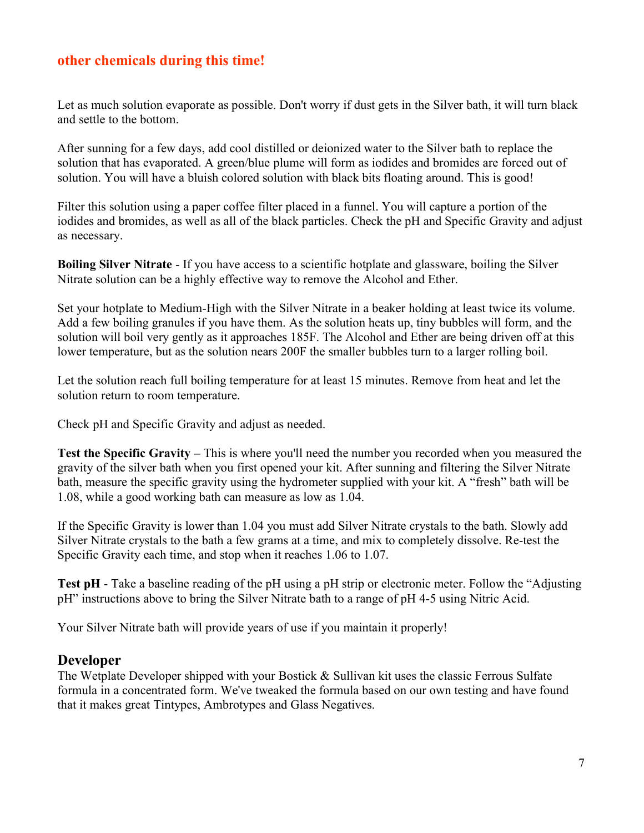# other chemicals during this time!

Let as much solution evaporate as possible. Don't worry if dust gets in the Silver bath, it will turn black and settle to the bottom.

After sunning for a few days, add cool distilled or deionized water to the Silver bath to replace the solution that has evaporated. A green/blue plume will form as iodides and bromides are forced out of solution. You will have a bluish colored solution with black bits floating around. This is good!

Filter this solution using a paper coffee filter placed in a funnel. You will capture a portion of the iodides and bromides, as well as all of the black particles. Check the pH and Specific Gravity and adjust as necessary.

Boiling Silver Nitrate - If you have access to a scientific hotplate and glassware, boiling the Silver Nitrate solution can be a highly effective way to remove the Alcohol and Ether.

Set your hotplate to Medium-High with the Silver Nitrate in a beaker holding at least twice its volume. Add a few boiling granules if you have them. As the solution heats up, tiny bubbles will form, and the solution will boil very gently as it approaches 185F. The Alcohol and Ether are being driven off at this lower temperature, but as the solution nears 200F the smaller bubbles turn to a larger rolling boil.

Let the solution reach full boiling temperature for at least 15 minutes. Remove from heat and let the solution return to room temperature.

Check pH and Specific Gravity and adjust as needed.

Test the Specific Gravity – This is where you'll need the number you recorded when you measured the gravity of the silver bath when you first opened your kit. After sunning and filtering the Silver Nitrate bath, measure the specific gravity using the hydrometer supplied with your kit. A "fresh" bath will be 1.08, while a good working bath can measure as low as 1.04.

If the Specific Gravity is lower than 1.04 you must add Silver Nitrate crystals to the bath. Slowly add Silver Nitrate crystals to the bath a few grams at a time, and mix to completely dissolve. Re-test the Specific Gravity each time, and stop when it reaches 1.06 to 1.07.

Test pH - Take a baseline reading of the pH using a pH strip or electronic meter. Follow the "Adjusting pH" instructions above to bring the Silver Nitrate bath to a range of pH 4-5 using Nitric Acid.

Your Silver Nitrate bath will provide years of use if you maintain it properly!

#### Developer

The Wetplate Developer shipped with your Bostick & Sullivan kit uses the classic Ferrous Sulfate formula in a concentrated form. We've tweaked the formula based on our own testing and have found that it makes great Tintypes, Ambrotypes and Glass Negatives.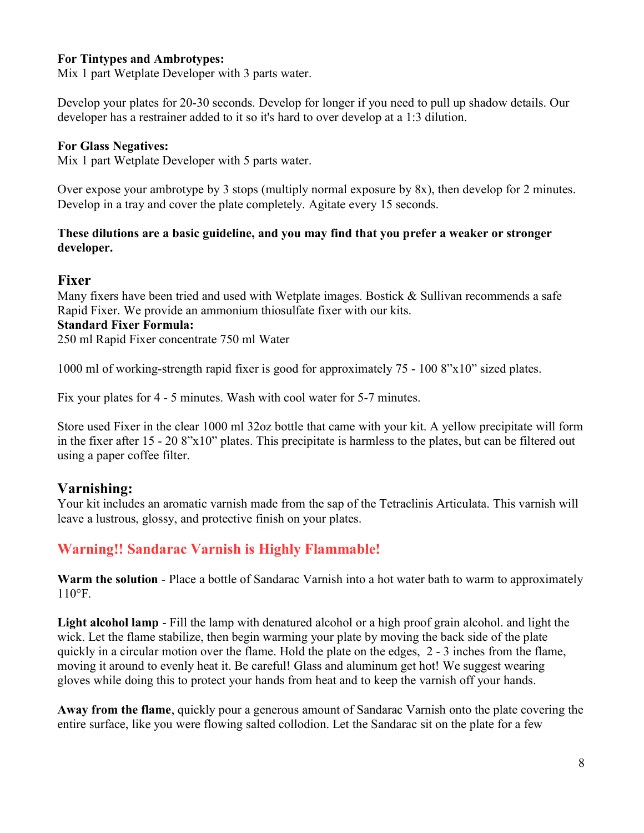#### For Tintypes and Ambrotypes:

Mix 1 part Wetplate Developer with 3 parts water.

Develop your plates for 20-30 seconds. Develop for longer if you need to pull up shadow details. Our developer has a restrainer added to it so it's hard to over develop at a 1:3 dilution.

#### For Glass Negatives:

Mix 1 part Wetplate Developer with 5 parts water.

Over expose your ambrotype by 3 stops (multiply normal exposure by 8x), then develop for 2 minutes. Develop in a tray and cover the plate completely. Agitate every 15 seconds.

#### These dilutions are a basic guideline, and you may find that you prefer a weaker or stronger developer.

#### Fixer

Many fixers have been tried and used with Wetplate images. Bostick & Sullivan recommends a safe Rapid Fixer. We provide an ammonium thiosulfate fixer with our kits. Standard Fixer Formula:

250 ml Rapid Fixer concentrate 750 ml Water

1000 ml of working-strength rapid fixer is good for approximately 75 - 100 8"x10" sized plates.

Fix your plates for 4 - 5 minutes. Wash with cool water for 5-7 minutes.

Store used Fixer in the clear 1000 ml 32oz bottle that came with your kit. A yellow precipitate will form in the fixer after 15 - 20 8"x10" plates. This precipitate is harmless to the plates, but can be filtered out using a paper coffee filter.

## Varnishing:

Your kit includes an aromatic varnish made from the sap of the Tetraclinis Articulata. This varnish will leave a lustrous, glossy, and protective finish on your plates.

## Warning!! Sandarac Varnish is Highly Flammable!

Warm the solution - Place a bottle of Sandarac Varnish into a hot water bath to warm to approximately 110°F.

Light alcohol lamp - Fill the lamp with denatured alcohol or a high proof grain alcohol. and light the wick. Let the flame stabilize, then begin warming your plate by moving the back side of the plate quickly in a circular motion over the flame. Hold the plate on the edges, 2 - 3 inches from the flame, moving it around to evenly heat it. Be careful! Glass and aluminum get hot! We suggest wearing gloves while doing this to protect your hands from heat and to keep the varnish off your hands.

Away from the flame, quickly pour a generous amount of Sandarac Varnish onto the plate covering the entire surface, like you were flowing salted collodion. Let the Sandarac sit on the plate for a few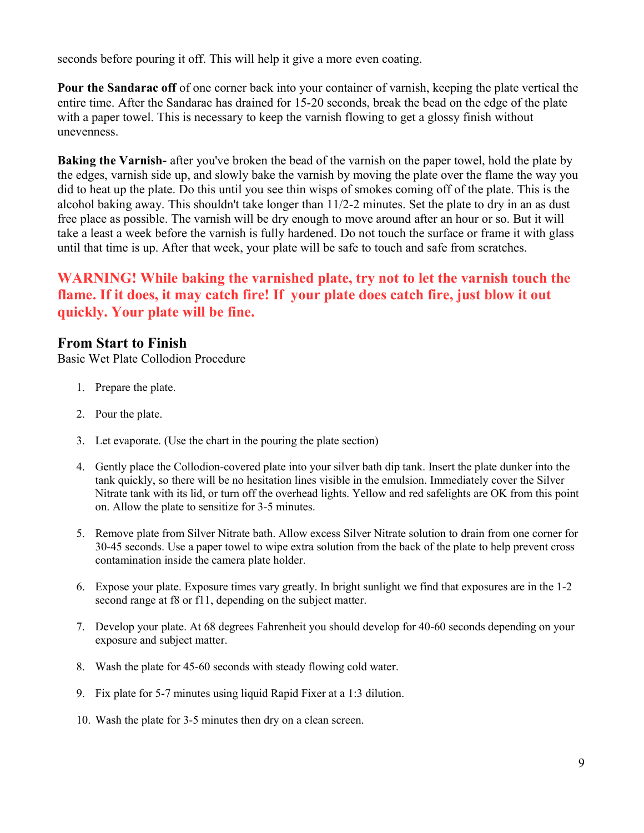seconds before pouring it off. This will help it give a more even coating.

Pour the Sandarac off of one corner back into your container of varnish, keeping the plate vertical the entire time. After the Sandarac has drained for 15-20 seconds, break the bead on the edge of the plate with a paper towel. This is necessary to keep the varnish flowing to get a glossy finish without unevenness.

Baking the Varnish- after you've broken the bead of the varnish on the paper towel, hold the plate by the edges, varnish side up, and slowly bake the varnish by moving the plate over the flame the way you did to heat up the plate. Do this until you see thin wisps of smokes coming off of the plate. This is the alcohol baking away. This shouldn't take longer than 11/2-2 minutes. Set the plate to dry in an as dust free place as possible. The varnish will be dry enough to move around after an hour or so. But it will take a least a week before the varnish is fully hardened. Do not touch the surface or frame it with glass until that time is up. After that week, your plate will be safe to touch and safe from scratches.

# WARNING! While baking the varnished plate, try not to let the varnish touch the flame. If it does, it may catch fire! If your plate does catch fire, just blow it out quickly. Your plate will be fine.

## From Start to Finish

Basic Wet Plate Collodion Procedure

- 1. Prepare the plate.
- 2. Pour the plate.
- 3. Let evaporate. (Use the chart in the pouring the plate section)
- 4. Gently place the Collodion-covered plate into your silver bath dip tank. Insert the plate dunker into the tank quickly, so there will be no hesitation lines visible in the emulsion. Immediately cover the Silver Nitrate tank with its lid, or turn off the overhead lights. Yellow and red safelights are OK from this point on. Allow the plate to sensitize for 3-5 minutes.
- 5. Remove plate from Silver Nitrate bath. Allow excess Silver Nitrate solution to drain from one corner for 30-45 seconds. Use a paper towel to wipe extra solution from the back of the plate to help prevent cross contamination inside the camera plate holder.
- 6. Expose your plate. Exposure times vary greatly. In bright sunlight we find that exposures are in the 1-2 second range at f8 or f11, depending on the subject matter.
- 7. Develop your plate. At 68 degrees Fahrenheit you should develop for 40-60 seconds depending on your exposure and subject matter.
- 8. Wash the plate for 45-60 seconds with steady flowing cold water.
- 9. Fix plate for 5-7 minutes using liquid Rapid Fixer at a 1:3 dilution.
- 10. Wash the plate for 3-5 minutes then dry on a clean screen.